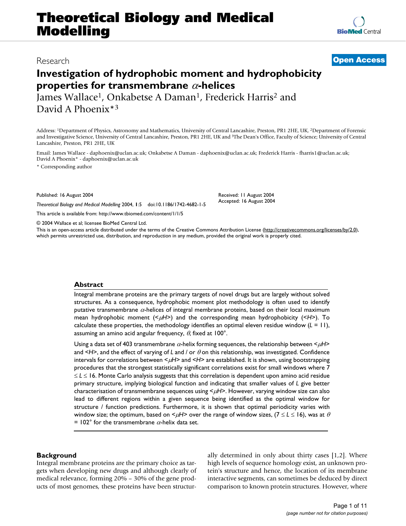# **Theoretical Biology and Medical Modelling**

## **Investigation of hydrophobic moment and hydrophobicity properties for transmembrane** α**-helices**

James Wallace<sup>1</sup>, Onkabetse A Daman<sup>1</sup>, Frederick Harris<sup>2</sup> and David A Phoenix\*3

Received: 11 August 2004 Accepted: 16 August 2004

Address: 1Department of Physics, Astronomy and Mathematics, University of Central Lancashire, Preston, PR1 2HE, UK, 2Department of Forensic and Investigative Science, University of Central Lancashire, Preston, PR1 2HE, UK and 3The Dean's Office, Faculty of Science; University of Central Lancashire, Preston, PR1 2HE, UK

Email: James Wallace - daphoenix@uclan.ac.uk; Onkabetse A Daman - daphoenix@uclan.ac.uk; Frederick Harris - fharris1@uclan.ac.uk; David A Phoenix\* - daphoenix@uclan.ac.uk

\* Corresponding author

Published: 16 August 2004

*Theoretical Biology and Medical Modelling* 2004, **1**:5 doi:10.1186/1742-4682-1-5

[This article is available from: http://www.tbiomed.com/content/1/1/5](http://www.tbiomed.com/content/1/1/5)

© 2004 Wallace et al; licensee BioMed Central Ltd.

This is an open-access article distributed under the terms of the Creative Commons Attribution License (<http://creativecommons.org/licenses/by/2.0>), which permits unrestricted use, distribution, and reproduction in any medium, provided the original work is properly cited.

#### **Abstract**

Integral membrane proteins are the primary targets of novel drugs but are largely without solved structures. As a consequence, hydrophobic moment plot methodology is often used to identify putative transmembrane  $\alpha$ -helices of integral membrane proteins, based on their local maximum mean hydrophobic moment (< $\mu$ H>) and the corresponding mean hydrophobicity (<H>). To calculate these properties, the methodology identifies an optimal eleven residue window (*L* = 11), assuming an amino acid angular frequency,  $\theta$ , fixed at 100°.

Using a data set of 403 transmembrane  $\alpha$ -helix forming sequences, the relationship between  $\leq \mu$ H> and  $\leq$ *H* $>$ , and the effect of varying of *L* and */* or  $\theta$  on this relationship, was investigated. Confidence intervals for correlations between < $\mu$ H> and <*H*> are established. It is shown, using bootstrapping procedures that the strongest statistically significant correlations exist for small windows where 7 ≤ *L* ≤ 16. Monte Carlo analysis suggests that this correlation is dependent upon amino acid residue primary structure, implying biological function and indicating that smaller values of *L* give better characterisation of transmembrane sequences using < $\mu$ H>. However, varying window size can also lead to different regions within a given sequence being identified as the optimal window for structure / function predictions. Furthermore, it is shown that optimal periodicity varies with window size; the optimum, based on  $\lt^{\mu}$ *H*> over the range of window sizes, ( $7 \le L \le 16$ ), was at  $\theta$ = 102 $^{\circ}$  for the transmembrane  $\alpha$ -helix data set.

#### **Background**

Integral membrane proteins are the primary choice as targets when developing new drugs and although clearly of medical relevance, forming 20% – 30% of the gene products of most genomes, these proteins have been structurally determined in only about thirty cases [1,2]. Where high levels of sequence homology exist, an unknown protein's structure and hence, the location of its membrane interactive segments, can sometimes be deduced by direct comparison to known protein structures. However, where



### Research **[Open Access](http://www.biomedcentral.com/info/about/charter/)**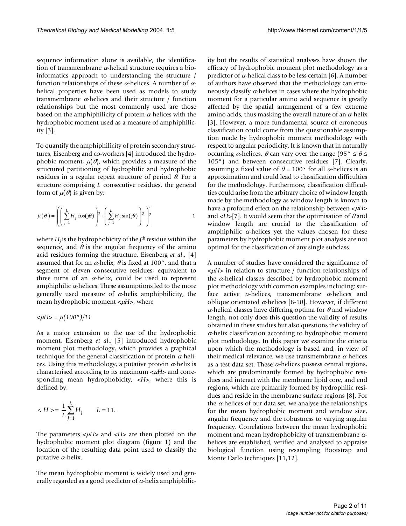sequence information alone is available, the identification of transmembrane  $\alpha$ -helical structure requires a bioinformatics approach to understanding the structure / function relationships of these  $\alpha$ -helices. A number of  $\alpha$ helical properties have been used as models to study transmembrane  $\alpha$ -helices and their structure / function relationships but the most commonly used are those based on the amphiphilicity of protein  $\alpha$ -helices with the hydrophobic moment used as a measure of amphiphilicity [[3](#page-9-0)].

To quantify the amphiphilicity of protein secondary structures, Eisenberg and co-workers [4] introduced the hydrophobic moment,  $\mu(\theta)$ , which provides a measure of the structured partitioning of hydrophilic and hydrophobic residues in a regular repeat structure of period  $\theta$ . For a structure comprising *L* consecutive residues, the general form of  $\mu(\theta)$  is given by:

$$
\mu(\theta) = \left\| \left( \sum_{j=1}^{L} H_j \cos(j\theta) \right)^2 + \left( \sum_{j=1}^{L} H_j \sin(j\theta) \right)^2 \right\|^2 \right\|
$$
 1

where  $H_i$  is the hydrophobicity of the  $j<sup>th</sup>$  residue within the sequence, and  $\theta$  is the angular frequency of the amino acid residues forming the structure. Eisenberg *et al*., [4] assumed that for an  $\alpha$ -helix,  $\theta$  is fixed at 100°, and that a segment of eleven consecutive residues, equivalent to three turns of an  $\alpha$ -helix, could be used to represent amphiphilic  $\alpha$ -helices. These assumptions led to the more generally used measure of  $\alpha$ -helix amphiphilicity, the mean hydrophobic moment < $\mu$ *H*>, where

$$
\langle \mu H \rangle = \mu (100^\circ)/11
$$

As a major extension to the use of the hydrophobic moment, Eisenberg *et al*., [5] introduced hydrophobic moment plot methodology, which provides a graphical technique for the general classification of protein  $\alpha$ -helices. Using this methodology, a putative protein  $\alpha$ -helix is characterised according to its maximum < $\mu$ *H*> and corresponding mean hydrophobicity, <*H*>, where this is defined by:

$$
=\frac{1}{L}\sum_{j=1}^L H_j \qquad L=11.
$$

The parameters  $\lt \mu$ *H*> and  $\lt$ *H*> are then plotted on the hydrophobic moment plot diagram (figure 1) and the location of the resulting data point used to classify the putative  $\alpha$ -helix.

The mean hydrophobic moment is widely used and generally regarded as a good predictor of  $\alpha$ -helix amphiphilicity but the results of statistical analyses have shown the efficacy of hydrophobic moment plot methodology as a predictor of  $\alpha$ -helical class to be less certain [6]. A number of authors have observed that the methodology can erroneously classify  $\alpha$ -helices in cases where the hydrophobic moment for a particular amino acid sequence is greatly affected by the spatial arrangement of a few extreme amino acids, thus masking the overall nature of an  $\alpha$ -helix [[3\]](#page-9-0). However, a more fundamental source of erroneous classification could come from the questionable assumption made by hydrophobic moment methodology with respect to angular periodicity. It is known that in naturally occurring α-helices,  $\theta$  can vary over the range (95°  $\leq \theta \leq$ 105°) and between consecutive residues [7]. Clearly, assuming a fixed value of  $\theta = 100^{\circ}$  for all  $\alpha$ -helices is an approximation and could lead to classification difficulties for the methodology. Furthermore, classification difficulties could arise from the arbitrary choice of window length made by the methodology as window length is known to have a profound effect on the relationship between  $\lt \mu$ H> and  $H>[7]$ . It would seem that the optimisation of  $\theta$  and window length are crucial to the classification of amphiphilic  $\alpha$ -helices yet the values chosen for these parameters by hydrophobic moment plot analysis are not optimal for the classification of any single subclass.

A number of studies have considered the significance of <µ*H*> in relation to structure / function relationships of the  $\alpha$ -helical classes described by hydrophobic moment plot methodology with common examples including: surface active  $\alpha$ -helices, transmembrane  $\alpha$ -helices and oblique orientated  $α$ -helices [8-[10\]](#page-10-0). However, if different α-helical classes have differing optima for  $θ$  and window length, not only does this question the validity of results obtained in these studies but also questions the validity of  $\alpha$ -helix classification according to hydrophobic moment plot methodology. In this paper we examine the criteria upon which the methodology is based and, in view of their medical relevance, we use transmembrane  $\alpha$ -helices as a test data set. These  $\alpha$ -helices possess central regions, which are predominantly formed by hydrophobic residues and interact with the membrane lipid core, and end regions, which are primarily formed by hydrophilic residues and reside in the membrane surface regions [8]. For the  $\alpha$ -helices of our data set, we analyse the relationships for the mean hydrophobic moment and window size, angular frequency and the robustness to varying angular frequency. Correlations between the mean hydrophobic moment and mean hydrophobicity of transmembrane  $\alpha$ helices are established, verified and analysed to appraise biological function using resampling Bootstrap and Monte Carlo techniques [11,12].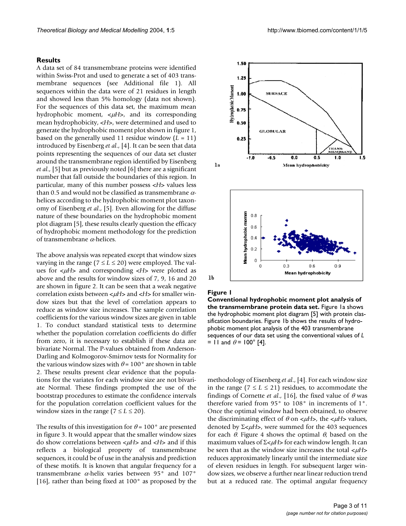A data set of 84 transmembrane proteins were identified within Swiss-Prot and used to generate a set of 403 transmembrane sequences (see Additional file 1). All sequences within the data were of 21 residues in length and showed less than 5% homology (data not shown). For the sequences of this data set, the maximum mean hydrophobic moment,  $\lt \mu$ *H*>, and its corresponding mean hydrophobicity, <*H*>, were determined and used to generate the hydrophobic moment plot shown in figure 1, based on the generally used 11 residue window (*L* = 11) introduced by Eisenberg *et al*., [4]. It can be seen that data points representing the sequences of our data set cluster around the transmembrane region identified by Eisenberg *et al*., [5] but as previously noted [6] there are a significant number that fall outside the boundaries of this region. In particular, many of this number possess <*H*> values less than 0.5 and would not be classified as transmembrane  $\alpha$ helices according to the hydrophobic moment plot taxonomy of Eisenberg *et al*., [5]. Even allowing for the diffuse nature of these boundaries on the hydrophobic moment plot diagram [5], these results clearly question the efficacy of hydrophobic moment methodology for the prediction of transmembrane α-helices.

The above analysis was repeated except that window sizes varying in the range ( $7 \le L \le 20$ ) were employed. The values for < $\mu$ *H*> and corresponding <*H*> were plotted as above and the results for window sizes of 7, 9, 16 and 20 are shown in figure [2.](#page-3-0) It can be seen that a weak negative correlation exists between  $\lt \mu$ H and  $\lt$ H > for smaller window sizes but that the level of correlation appears to reduce as window size increases. The sample correlation coefficients for the various window sizes are given in table [1.](#page-3-1) To conduct standard statistical tests to determine whether the population correlation coefficients do differ from zero, it is necessary to establish if these data are bivariate Normal. The P-values obtained from Anderson-Darling and Kolmogorov-Smirnov tests for Normality for the various window sizes with  $\theta = 100^{\circ}$  are shown in table [2.](#page-4-0) These results present clear evidence that the populations for the variates for each window size are not bivariate Normal. These findings prompted the use of the bootstrap procedures to estimate the confidence intervals for the population correlation coefficient values for the window sizes in the range  $(7 \le L \le 20)$ .

The results of this investigation for  $\theta$  = 100° are presented in figure 3. It would appear that the smaller window sizes do show correlations between < $\mu$ *H*> and <*H*> and if this reflects a biological property of transmembrane sequences, it could be of use in the analysis and prediction of these motifs. It is known that angular frequency for a transmembrane  $\alpha$ -helix varies between 95 $^{\circ}$  and 107 $^{\circ}$ [16], rather than being fixed at 100° as proposed by the



#### Figure 1

**Conventional hydrophobic moment plot analysis of the transmembrane protein data set.** Figure 1a shows the hydrophobic moment plot diagram [5] with protein classification boundaries. Figure 1b shows the results of hydrophobic moment plot analysis of the 403 transmembrane sequences of our data set using the conventional values of *L*  = 11 and  $\theta$  = 100° [4].

methodology of Eisenberg *et al*., [4]. For each window size in the range ( $7 \le L \le 21$ ) residues, to accommodate the findings of Cornette *et al.*, [16], the fixed value of  $\theta$  was therefore varied from 95° to 108° in increments of 1°. Once the optimal window had been obtained, to observe the discriminating effect of  $\theta$  on  $\lt \mu$ *H*>, the  $\lt \mu$ *H*> values, denoted by Σ<μH>, were summed for the 403 sequences for each  $\theta$ . Figure 4 shows the optimal  $\theta$ , based on the maximum values of Σ<μH> for each window length. It can be seen that as the window size increases the total  $\lt \mu$ *H*> reduces approximately linearly until the intermediate size of eleven residues in length. For subsequent larger window sizes, we observe a further near linear reduction trend but at a reduced rate. The optimal angular frequency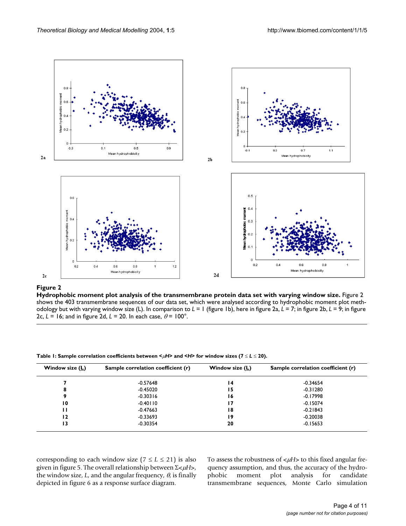<span id="page-3-0"></span>

#### Hydrophobic moment plot analysis of the transm **Figure 2** embrane protein data set with varying window size

Hydrophobic moment plot analysis of the transmembrane protein data set with varying window size. Figure 2 shows the 403 transmembrane sequences of our data set, which were analysed according to hydrophobic moment plot methodology but with varying window size (L). In comparison to *L* = 1 (figure 1b), here in figure 2a, *L* = 7; in figure 2b, *L* = 9; in figure 2c,  $L = 16$ ; and in figure 2d,  $L = 20$ . In each case,  $\theta = 100^\circ$ .

| Window size $(L)$ | Sample correlation coefficient (r) | Window size $(L)$ | Sample correlation coefficient (r) |  |  |
|-------------------|------------------------------------|-------------------|------------------------------------|--|--|
|                   | -0.57648                           | 14                | $-0.34654$                         |  |  |
| 8                 | $-0.45020$                         | 15                | $-0.31280$                         |  |  |
| 9                 | $-0.30316$                         | 16                | $-0.17998$                         |  |  |
| 10                | $-0.40110$                         | 17                | $-0.15074$                         |  |  |
| Н                 | $-0.47663$                         | 18                | $-0.21843$                         |  |  |
| 12                | $-0.33693$                         | 19                | $-0.20038$                         |  |  |
| 13                | $-0.30354$                         | 20                | $-0.15653$                         |  |  |

<span id="page-3-1"></span>**Table 1: Sample correlation coefficients between <**µ*H***> and <***H***> for window sizes (7** ≤ *L* ≤ **20).**

corresponding to each window size  $(7 \le L \le 21)$  is also given in figure 5. The overall relationship between Σ<µ*H*>, the window size,  $L$ , and the angular frequency,  $\theta$ , is finally depicted in figure 6 as a response surface diagram.

To assess the robustness of < $\mu$ H> to this fixed angular frequency assumption, and thus, the accuracy of the hydrophobic moment plot analysis for candidate transmembrane sequences, Monte Carlo simulation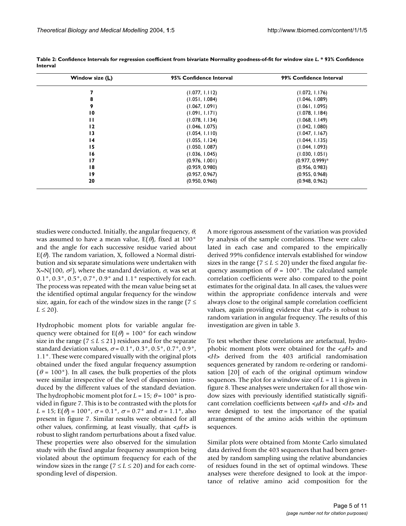| Window size $(L)$ | 95% Confidence Interval | 99% Confidence Interval |
|-------------------|-------------------------|-------------------------|
|                   | (1.077, 1.112)          | (1.072, 1.176)          |
| 8                 | (1.051, 1.084)          | (1.046, 1.089)          |
| 9                 | (1.067, 1.091)          | (1.061, 1.095)          |
| $\overline{10}$   | (1.091, 1.171)          | (1.078, 1.184)          |
| п                 | (1.078, 1.134)          | (1.068, 1.149)          |
| 12                | (1.046, 1.075)          | (1.042, 1.080)          |
| 13                | (1.054, 1.110)          | (1.047, 1.167)          |
| $\overline{14}$   | (1.055, 1.124)          | (1.044, 1.135)          |
| 15                | (1.050, 1.087)          | (1.044, 1.093)          |
| 16                | (1.036, 1.045)          | (1.030, 1.051)          |
| 17                | (0.976, 1.001)          | $(0.977, 0.999)^*$      |
| 18                | (0.959, 0.980)          | (0.956, 0.983)          |
| 19                | (0.957, 0.967)          | (0.955, 0.968)          |
| 20                | (0.950, 0.960)          | (0.948, 0.962)          |

<span id="page-4-0"></span>**Table 2: Confidence Intervals for regression coefficient from bivariate Normality goodness-of-fit for window size** *L***. \* 93% Confidence Interval**

studies were conducted. Initially, the angular frequency,  $\theta$ , was assumed to have a mean value,  $E(\theta)$ , fixed at 100° and the angle for each successive residue varied about  $E(\theta)$ . The random variation, X, followed a Normal distribution and six separate simulations were undertaken with X~N(100,  $\sigma^2$ ), where the standard deviation,  $\sigma$ , was set at 0.1°, 0.3°, 0.5°, 0.7°, 0.9° and 1.1° respectively for each. The process was repeated with the mean value being set at the identified optimal angular frequency for the window size, again, for each of the window sizes in the range ( $7 \le$  $L \leq 20$ ).

Hydrophobic moment plots for variable angular frequency were obtained for  $E(\theta) = 100^{\circ}$  for each window size in the range ( $7 \le L \le 21$ ) residues and for the separate standard deviation values,  $\sigma = 0.1^{\circ}$ ,  $0.3^{\circ}$ ,  $0.5^{\circ}$ ,  $0.7^{\circ}$ ,  $0.9^{\circ}$ , 1.1°. These were compared visually with the original plots obtained under the fixed angular frequency assumption ( $\theta$  = 100 $^{\circ}$ ). In all cases, the bulk properties of the plots were similar irrespective of the level of dispersion introduced by the different values of the standard deviation. The hydrophobic moment plot for  $L = 15$ ;  $\theta = 100^\circ$  is provided in figure [7.](#page-7-0) This is to be contrasted with the plots for *L* = 15; E( $\theta$ ) = 100°,  $\sigma$  = 0.1°,  $\sigma$  = 0.7° and  $\sigma$  = 1.1°, also present in figure [7.](#page-7-0) Similar results were obtained for all other values, confirming, at least visually, that  $\langle \mu H \rangle$  is robust to slight random perturbations about a fixed value. These properties were also observed for the simulation study with the fixed angular frequency assumption being violated about the optimum frequency for each of the window sizes in the range ( $7 \le L \le 20$ ) and for each corresponding level of dispersion.

A more rigorous assessment of the variation was provided by analysis of the sample correlations. These were calculated in each case and compared to the empirically derived 99% confidence intervals established for window sizes in the range ( $7 \le L \le 20$ ) under the fixed angular frequency assumption of  $\theta = 100^{\circ}$ . The calculated sample correlation coefficients were also compared to the point estimates for the original data. In all cases, the values were within the appropriate confidence intervals and were always close to the original sample correlation coefficient values, again providing evidence that < $\mu$ *H*> is robust to random variation in angular frequency. The results of this investigation are given in table [3.](#page-7-1)

To test whether these correlations are artefactual, hydrophobic moment plots were obtained for the  $\lt \mu$ *H*> and <*H*> derived from the 403 artificial randomisation sequences generated by random re-ordering or randomisation [20] of each of the original optimum window sequences. The plot for a window size of *L* = 11 is given in figure [8.](#page-8-0) These analyses were undertaken for all those window sizes with previously identified statistically significant correlation coefficients between < $\mu$ *H*> and <*H*> and were designed to test the importance of the spatial arrangement of the amino acids within the optimum sequences.

Similar plots were obtained from Monte Carlo simulated data derived from the 403 sequences that had been generated by random sampling using the relative abundancies of residues found in the set of optimal windows. These analyses were therefore designed to look at the importance of relative amino acid composition for the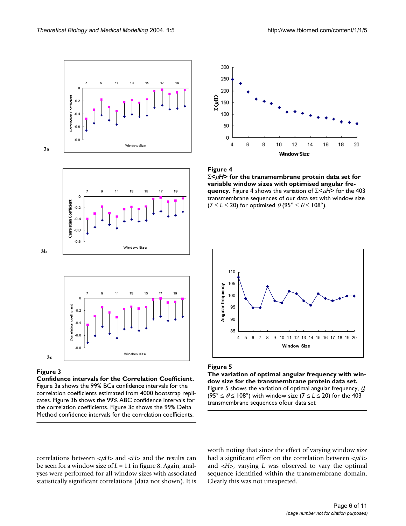





#### Figure 3

 $3<sub>b</sub>$ 

**Confidence intervals for the Correlation Coefficient.**  Figure 3a shows the 99% BCa confidence intervals for the correlation coefficients estimated from 4000 bootstrap replicates. Figure 3b shows the 99% ABC confidence intervals for the correlation coefficients. Figure 3c shows the 99% Delta Method confidence intervals for the correlation coefficients.







#### Figure 5

**The variation of optimal angular frequency with window size for the transmembrane protein data set.**  Figure 5 shows the variation of optimal angular frequency,  $\theta$ ,  $(95^{\circ} \le \theta \le 108^{\circ})$  with window size  $(7 \le L \le 20)$  for the 403 transmembrane sequences ofour data set

correlations between < $\mu$ *H*> and <*H*> and the results can be seen for a window size of *L* = 11 in figure [8.](#page-8-0) Again, analyses were performed for all window sizes with associated statistically significant correlations (data not shown). It is worth noting that since the effect of varying window size had a significant effect on the correlation between < $\mu$ H> and <*H*>, varying *L* was observed to vary the optimal sequence identified within the transmembrane domain. Clearly this was not unexpected.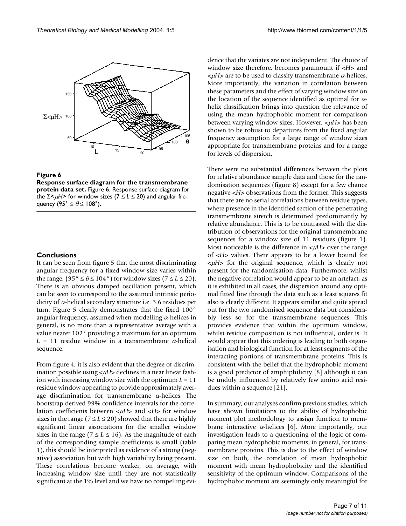

#### **Figure 6**

**Response surface diagram for the transmembrane protein data set.** Figure 6. Response surface diagram for the Σ<µ*H*> for window sizes (7 ≤ *L* ≤ 20) and angular frequency (95°  $\leq \theta \leq 108$ °).

#### **Conclusions**

It can be seen from figure 5 that the most discriminating angular frequency for a fixed window size varies within the range,  $(95^\circ \le \theta \le 104^\circ)$  for window sizes  $(7 \le L \le 20)$ . There is an obvious damped oscillation present, which can be seen to correspond to the assumed intrinsic periodicity of  $\alpha$ -helical secondary structure i.e. 3.6 residues per turn. Figure 5 clearly demonstrates that the fixed 100° angular frequency, assumed when modelling  $\alpha$ -helices in general, is no more than a representative average with a value nearer 102° providing a maximum for an optimum  $L = 11$  residue window in a transmembrane  $\alpha$ -helical sequence.

From figure 4, it is also evident that the degree of discrimination possible using < $\mu$ *H*> declines in a near linear fashion with increasing window size with the optimum *L* = 11 residue window appearing to provide approximately average discrimination for transmembrane  $\alpha$ -helices. The bootstrap derived 99% confidence intervals for the correlation coefficients between  $\lt \mu$ H and  $\lt$ H for window sizes in the range ( $7 \le L \le 20$ ) showed that there are highly significant linear associations for the smaller window sizes in the range ( $7 \le L \le 16$ ). As the magnitude of each of the corresponding sample coefficients is small (table [1\)](#page-3-1), this should be interpreted as evidence of a strong (negative) association but with high variability being present. These correlations become weaker, on average, with increasing window size until they are not statistically significant at the 1% level and we have no compelling evidence that the variates are not independent. The choice of window size therefore, becomes paramount if <*H*> and  $\lt \mu$ *H*> are to be used to classify transmembrane  $\alpha$ -helices. More importantly, the variation in correlation between these parameters and the effect of varying window size on the location of the sequence identified as optimal for  $\alpha$ helix classification brings into question the relevance of using the mean hydrophobic moment for comparison between varying window sizes. However, <µ*H*> has been shown to be robust to departures from the fixed angular frequency assumption for a large range of window sizes appropriate for transmembrane proteins and for a range for levels of dispersion.

There were no substantial differences between the plots for relative abundance sample data and those for the randomisation sequences (figure [8\)](#page-8-0) except for a few chance negative <*H*> observations from the former. This suggests that there are no serial correlations between residue types, where presence in the identified section of the penetrating transmembrane stretch is determined predominantly by relative abundance. This is to be contrasted with the distribution of observations for the original transmembrane sequences for a window size of 11 residues (figure 1). Most noticeable is the difference in < $\mu$ H> over the range of <*H*> values. There appears to be a lower bound for <µ*H*> for the original sequence, which is clearly not present for the randomisation data. Furthermore, whilst the negative correlation would appear to be an artefact, as it is exhibited in all cases, the dispersion around any optimal fitted line through the data such as a least squares fit also is clearly different. It appears similar and quite spread out for the two randomised sequence data but considerably less so for the transmembrane sequences. This provides evidence that within the optimum window, whilst residue composition is not influential, order is. It would appear that this ordering is leading to both organisation and biological function for at least segments of the interacting portions of transmembrane proteins. This is consistent with the belief that the hydrophobic moment is a good predictor of amphiphilicity [8] although it can be unduly influenced by relatively few amino acid residues within a sequence [21].

In summary, our analyses confirm previous studies, which have shown limitations to the ability of hydrophobic moment plot methodology to assign function to membrane interactive  $\alpha$ -helices [6]. More importantly, our investigation leads to a questioning of the logic of comparing mean hydrophobic moments, in general, for transmembrane proteins. This is due to the effect of window size on both, the correlation of mean hydrophobic moment with mean hydrophobicity and the identified sensitivity of the optimum window. Comparisons of the hydrophobic moment are seemingly only meaningful for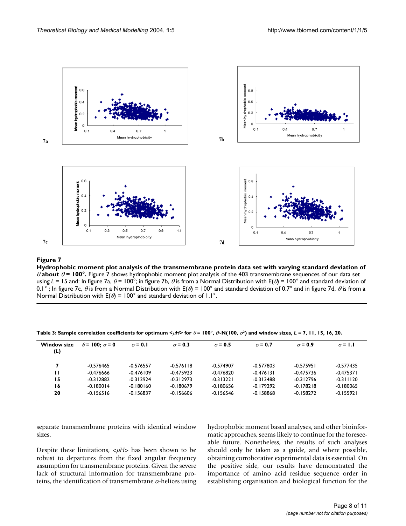<span id="page-7-0"></span>

#### **Figure 7** Hydrophobic moment plot analysis of the transmembrane protein data set with varying standard deviation of θ about θ = 100°

**Hydrophobic moment plot analysis of the transmembrane protein data set with varying standard deviation of**  θ **about** θ **= 100°.** Figure 7 shows hydrophobic moment plot analysis of the 403 transmembrane sequences of our data set using  $L = 15$  and: In figure 7a,  $\theta = 100^\circ$ ; in figure 7b,  $\theta$  is from a Normal Distribution with  $E(\theta) = 100^\circ$  and standard deviation of 0.1°; In figure 7c,  $\theta$  is from a Normal Distribution with  $E(\theta) = 100^\circ$  and standard deviation of 0.7° and in figure 7d,  $\theta$  is from a Normal Distribution with  $E(\theta) = 100^{\circ}$  and standard deviation of 1.1°.

<span id="page-7-1"></span>Table 3: Sample correlation coefficients for optimum < $\mu$ H> for  $\theta$  = 100°,  $\theta$ -N(100,  $\sigma^2$ ) and window sizes, *L* = 7, 11, 15, 16, 20.

| <b>Window size</b><br>(L) | $\theta$ = 100: $\sigma$ = 0 | $\sigma$ = 0.1 | $\sigma$ = 0.3 | $\sigma$ = 0.5 | $\sigma$ = 0.7 | $\sigma$ = 0.9 | $\sigma$ = 1.1 |
|---------------------------|------------------------------|----------------|----------------|----------------|----------------|----------------|----------------|
|                           | $-0.576465$                  | $-0.576557$    | $-0.576$   18  | $-0.574907$    | $-0.577803$    | $-0.575951$    | $-0.577435$    |
| п                         | $-0.476666$                  | $-0.476109$    | $-0.475923$    | $-0.476820$    | $-0.476131$    | $-0.475736$    | $-0.475371$    |
| 15                        | $-0.312882$                  | $-0.312924$    | $-0.312973$    | $-0.313221$    | $-0.313488$    | $-0.312796$    | $-0.311120$    |
| 16                        | $-0.180014$                  | $-0.180160$    | $-0.180679$    | $-0.180656$    | $-0.179292$    | $-0.178218$    | $-0.180065$    |
| 20                        | $-0.156516$                  | $-0.156837$    | $-0.156606$    | $-0.156546$    | $-0.158868$    | $-0.158272$    | $-0.155921$    |

separate transmembrane proteins with identical window sizes.

Despite these limitations,  $\langle \mu H \rangle$  has been shown to be robust to departures from the fixed angular frequency assumption for transmembrane proteins. Given the severe lack of structural information for transmembrane proteins, the identification of transmembrane  $\alpha$ -helices using hydrophobic moment based analyses, and other bioinformatic approaches, seems likely to continue for the foreseeable future. Nonetheless, the results of such analyses should only be taken as a guide, and where possible, obtaining corroborative experimental data is essential. On the positive side, our results have demonstrated the importance of amino acid residue sequence order in establishing organisation and biological function for the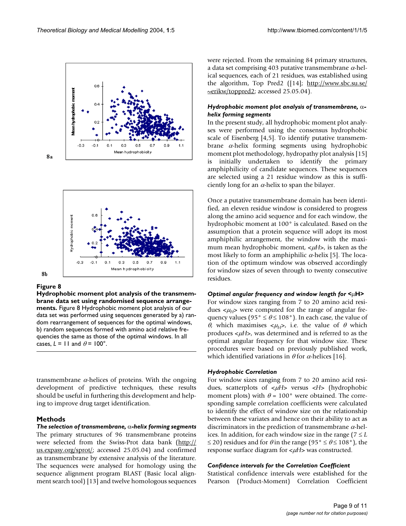<span id="page-8-0"></span>

 $8a$ 



#### Figure 8

 $8<sub>b</sub>$ 

**Hydrophobic moment plot analysis of the transmembrane data set using randomised sequence arrangements.** Figure 8 Hydrophobic moment plot analysis of our data set was performed using sequences generated by a) random rearrangement of sequences for the optimal windows, b) random sequences formed with amino acid relative frequencies the same as those of the optimal windows. In all cases,  $L = 11$  and  $\theta = 100^\circ$ .

transmembrane  $\alpha$ -helices of proteins. With the ongoing development of predictive techniques, these results should be useful in furthering this development and helping to improve drug target identification.

#### **Methods**

*The selection of transmembrane,* α*-helix forming segments* The primary structures of 96 transmembrane proteins were selected from the Swiss-Prot data bank ([http://](http://us.expasy.org/sprot/) [us.expasy.org/sprot/;](http://us.expasy.org/sprot/) accessed 25.05.04) and confirmed as transmembrane by extensive analysis of the literature. The sequences were analysed for homology using the sequence alignment program BLAST (Basic local alignment search tool) [13] and twelve homologous sequences were rejected. From the remaining 84 primary structures, a data set comprising 403 putative transmembrane  $\alpha$ -helical sequences, each of 21 residues, was established using the algorithm, Top Pred2 ([14]; [http://www.sbc.su.se/](http://www.sbc.su.se/~erikw/toppred2) [~erikw/toppred2;](http://www.sbc.su.se/~erikw/toppred2) accessed 25.05.04).

#### *Hydrophobic moment plot analysis of transmembrane,* α*helix forming segments*

In the present study, all hydrophobic moment plot analyses were performed using the consensus hydrophobic scale of Eisenberg [4,5]. To identify putative transmembrane α-helix forming segments using hydrophobic moment plot methodology, hydropathy plot analysis [15] is initially undertaken to identify the primary amphiphilicity of candidate sequences. These sequences are selected using a 21 residue window as this is sufficiently long for an  $\alpha$ -helix to span the bilayer.

Once a putative transmembrane domain has been identified, an eleven residue window is considered to progress along the amino acid sequence and for each window, the hydrophobic moment at 100° is calculated. Based on the assumption that a protein sequence will adopt its most amphiphilic arrangement, the window with the maximum mean hydrophobic moment,  $\lt \mu$ *H*>, is taken as the most likely to form an amphiphilic  $\alpha$ -helix [5]. The location of the optimum window was observed accordingly for window sizes of seven through to twenty consecutive residues.

#### *Optimal angular frequency and window length for <*µ**H***>*

For window sizes ranging from 7 to 20 amino acid residues  $\langle \mu_H \rangle$  were computed for the range of angular frequency values (95°  $\leq \theta \leq 108$ °). In each case, the value of θ, which maximises  $\langle \mu_H \rangle$ , i.e. the value of θ which produces < $\mu$ H>, was determined and is referred to as the optimal angular frequency for that window size. These procedures were based on previously published work, which identified variations in  $\theta$  for  $\alpha$ -helices [16].

#### *Hydrophobic Correlation*

For window sizes ranging from 7 to 20 amino acid residues, scatterplots of < $\mu$ H> versus <*H*> (hydrophobic moment plots) with  $\theta = 100^{\circ}$  were obtained. The corresponding sample correlation coefficients were calculated to identify the effect of window size on the relationship between these variates and hence on their ability to act as discriminators in the prediction of transmembrane  $\alpha$ -helices. In addition, for each window size in the range ( $7 \leq L$  $\leq$  20) residues and for  $\theta$  in the range (95°  $\leq \theta \leq$  108°), the response surface diagram for  $\lt \mu$ *H*> was constructed.

### *Confidence intervals for the Correlation Coefficient*

Statistical confidence intervals were established for the Pearson (Product-Moment) Correlation Coefficient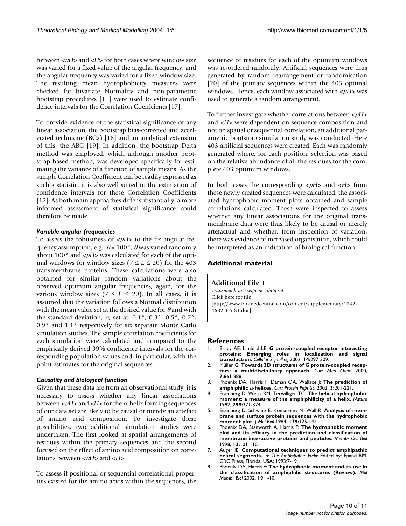between < $\mu$ *H*> and <*H*> for both cases where window size was varied for a fixed value of the angular frequency, and the angular frequency was varied for a fixed window size. The resulting mean hydrophobicity measures were checked for bivariate Normality and non-parametric bootstrap procedures [11] were used to estimate confidence intervals for the Correlation Coefficients [17].

To provide evidence of the statistical significance of any linear association, the bootstrap bias-corrected and accelerated technique (BCa) [18] and an analytical extension of this, the ABC [19]. In addition, the bootstrap Delta method was employed, which although another bootstrap based method, was developed specifically for estimating the variance of a function of sample means. As the sample Correlation Coefficient can be readily expressed as such a statistic, it is also well suited to the estimation of confidence intervals for these Correlation Coefficients [12]. As both main approaches differ substantially, a more informed assessment of statistical significance could therefore be made.

#### *Variable angular frequencies*

To assess the robustness of  $\lt \mu$ *H*> to the fix angular frequency assumption, e.g.,  $\theta$  = 100°,  $\theta$  was varied randomly about 100 $^{\circ}$  and  $\lt \mu$ H  $>$  was calculated for each of the optimal windows for window sizes ( $7 \le L \le 20$ ) for the 403 transmembrane proteins. These calculations were also obtained for similar random variations about the observed optimum angular frequencies, again, for the various window sizes ( $7 \leq L \leq 20$ ). In all cases, it is assumed that the variation follows a Normal distribution with the mean value set at the desired value for  $\theta$  and with the standard deviation,  $\sigma$ , set at: 0.1°, 0.3°, 0.5°, 0.7°, 0.9° and 1.1° respectively for six separate Monte Carlo simulation studies. The sample correlation coefficients for each simulation were calculated and compared to the empirically derived 99% confidence intervals for the corresponding population values and, in particular, with the point estimates for the original sequences.

#### *Causality and biological function*

Given that these data are from an observational study, it is necessary to assess whether any linear associations between  $\lt \mu$ *H* $>$  and  $\lt$ *H* $>$  for the  $\alpha$ -helix forming sequences of our data set are likely to be causal or merely an artefact of amino acid composition. To investigate these possibilities, two additional simulation studies were undertaken. The first looked at spatial arrangements of residues within the primary sequences and the second focused on the effect of amino acid composition on correlations between < $\mu$ *H*> and <*H*>.

To assess if positional or sequential correlational properties existed for the amino acids within the sequences, the sequence of residues for each of the optimum windows was re-ordered randomly. Artificial sequences were thus generated by random rearrangement or randomisation [20] of the primary sequences within the 403 optimal windows. Hence, each window associated with < $\mu$ H> was used to generate a random arrangement.

To further investigate whether correlations between < $\mu$ H> and <*H*> were dependent on sequence composition and not on spatial or sequential correlation, an additional parametric bootstrap simulation study was conducted. Here 403 artificial sequences were created. Each was randomly generated where, for each position, selection was based on the relative abundance of all the residues for the complete 403 optimum windows.

In both cases the corresponding  $\lt \mu$ *H*> and  $\lt$ *H*> from these newly created sequences were calculated, the associated hydrophobic moment plots obtained and sample correlations calculated. These were inspected to assess whether any linear associations for the original transmembrane data were thus likely to be causal or merely artefactual and whether, from inspection of variation, there was evidence of increased organisation, which could be interpreted as an indication of biological function.

### **Additional material**

#### **Additional File 1**

*Transmembrane sequence data set* Click here for file [\[http://www.biomedcentral.com/content/supplementary/1742-](http://www.biomedcentral.com/content/supplementary/1742-4682-1-5-S1.doc) 4682-1-5-S1.doc]

#### **References**

- 1. Brady AE, Limbird LE: **[G protein-coupled receptor interacting](http://www.ncbi.nlm.nih.gov/entrez/query.fcgi?cmd=Retrieve&db=PubMed&dopt=Abstract&list_uids=10.1016/S0898-6568(01)00239-X) [proteins: Emerging roles in localization and signal](http://www.ncbi.nlm.nih.gov/entrez/query.fcgi?cmd=Retrieve&db=PubMed&dopt=Abstract&list_uids=10.1016/S0898-6568(01)00239-X) [transduction](http://www.ncbi.nlm.nih.gov/entrez/query.fcgi?cmd=Retrieve&db=PubMed&dopt=Abstract&list_uids=10.1016/S0898-6568(01)00239-X)[.](http://www.ncbi.nlm.nih.gov/entrez/query.fcgi?cmd=Retrieve&db=PubMed&dopt=Abstract&list_uids=11858937)** *Cellular Signalling* 2002, **14:**297-309.
- 2. Müller G: **[Towards 3D structures of G protein-coupled recep](http://www.ncbi.nlm.nih.gov/entrez/query.fcgi?cmd=Retrieve&db=PubMed&dopt=Abstract&list_uids=10911020)[tors: a multidisciplinary approach.](http://www.ncbi.nlm.nih.gov/entrez/query.fcgi?cmd=Retrieve&db=PubMed&dopt=Abstract&list_uids=10911020)** *Curr Med Chem* 2000, **7:**861-888.
- <span id="page-9-0"></span>3. Phoenix DA, Harris F, Daman OA, Wallace J: **The prediction of amphiphilic** α**[-helices.](http://www.ncbi.nlm.nih.gov/entrez/query.fcgi?cmd=Retrieve&db=PubMed&dopt=Abstract&list_uids=12188904)** *Curr Protein Pept Sci* 2002, **3:**201-221.
- 4. Eisenberg D, Weiss RM, Terwilliger TC: **[The helical hydrophobic](http://www.ncbi.nlm.nih.gov/entrez/query.fcgi?cmd=Retrieve&db=PubMed&dopt=Abstract&list_uids=7110359) [moment: a measure of the amphiphilicity of a helix.](http://www.ncbi.nlm.nih.gov/entrez/query.fcgi?cmd=Retrieve&db=PubMed&dopt=Abstract&list_uids=7110359)** *Nature* 1982, **299:**371-374.
- 5. Eisenberg D, Schwarz E, Komaromy M, Wall R: **[Analysis of mem](http://www.ncbi.nlm.nih.gov/entrez/query.fcgi?cmd=Retrieve&db=PubMed&dopt=Abstract&list_uids=6502707)[brane and surface protein sequences with the hydrophobic](http://www.ncbi.nlm.nih.gov/entrez/query.fcgi?cmd=Retrieve&db=PubMed&dopt=Abstract&list_uids=6502707) [moment plot.](http://www.ncbi.nlm.nih.gov/entrez/query.fcgi?cmd=Retrieve&db=PubMed&dopt=Abstract&list_uids=6502707)** *J Mol Biol* 1984, **179:**125-142.
- 6. Phoenix DA, Stanworth A, Harris F: **[The hydrophobic moment](http://www.ncbi.nlm.nih.gov/entrez/query.fcgi?cmd=Retrieve&db=PubMed&dopt=Abstract&list_uids=9829263) [plot and its efficacy in the prediction and classification of](http://www.ncbi.nlm.nih.gov/entrez/query.fcgi?cmd=Retrieve&db=PubMed&dopt=Abstract&list_uids=9829263) [membrane interactive proteins and peptides.](http://www.ncbi.nlm.nih.gov/entrez/query.fcgi?cmd=Retrieve&db=PubMed&dopt=Abstract&list_uids=9829263)** *Membr Cell Biol* 1998, **12:**101-110.
- 7. Auger IE: **Computational techniques to predict amphipathic helical segments.** In: *The Amphipathic Helix* Edited by: Epand RM. CRC Press, Florida, USA; 1993:7-19.
- 8. Phoenix DA, Harris F: **[The hydrophobic moment and its use in](http://www.ncbi.nlm.nih.gov/entrez/query.fcgi?cmd=Retrieve&db=PubMed&dopt=Abstract&list_uids=11989818) [the classification of amphiphilic structures \(Review\)](http://www.ncbi.nlm.nih.gov/entrez/query.fcgi?cmd=Retrieve&db=PubMed&dopt=Abstract&list_uids=11989818)[.](http://www.ncbi.nlm.nih.gov/entrez/query.fcgi?cmd=Retrieve&db=PubMed&dopt=Abstract&list_uids=10.1080/09687680110103631)** *Mol Membr Biol* 2002, **19:**1-10.